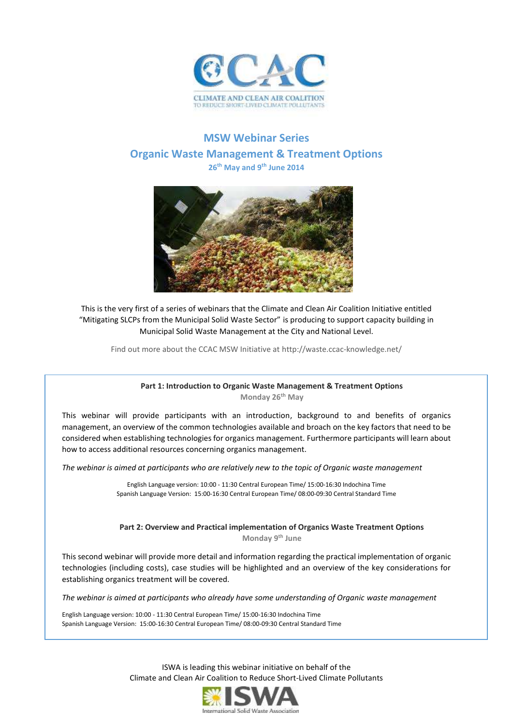

# **MSW Webinar Series Organic Waste Management & Treatment Options 26th May and 9th June 2014**



This is the very first of a series of webinars that the Climate and Clean Air Coalition Initiative entitled "Mitigating SLCPs from the Municipal Solid Waste Sector" is producing to support capacity building in Municipal Solid Waste Management at the City and National Level.

Find out more about the CCAC MSW Initiative at http://waste.ccac-knowledge.net/

## **Part 1: Introduction to Organic Waste Management & Treatment Options Monday 26th May**

This webinar will provide participants with an introduction, background to and benefits of organics management, an overview of the common technologies available and broach on the key factors that need to be considered when establishing technologies for organics management. Furthermore participants will learn about how to access additional resources concerning organics management.

*The webinar is aimed at participants who are relatively new to the topic of Organic waste management*

English Language version: 10:00 - 11:30 Central European Time/ 15:00-16:30 Indochina Time Spanish Language Version: 15:00-16:30 Central European Time/ 08:00-09:30 Central Standard Time

**Part 2: Overview and Practical implementation of Organics Waste Treatment Options Monday 9th June**

This second webinar will provide more detail and information regarding the practical implementation of organic technologies (including costs), case studies will be highlighted and an overview of the key considerations for establishing organics treatment will be covered.

*The webinar is aimed at participants who already have some understanding of Organic waste management*

English Language version: 10:00 - 11:30 Central European Time/ 15:00-16:30 Indochina Time Spanish Language Version: 15:00-16:30 Central European Time/ 08:00-09:30 Central Standard Time

> ISWA is leading this webinar initiative on behalf of the Climate and Clean Air Coalition to Reduce Short-Lived Climate Pollutants